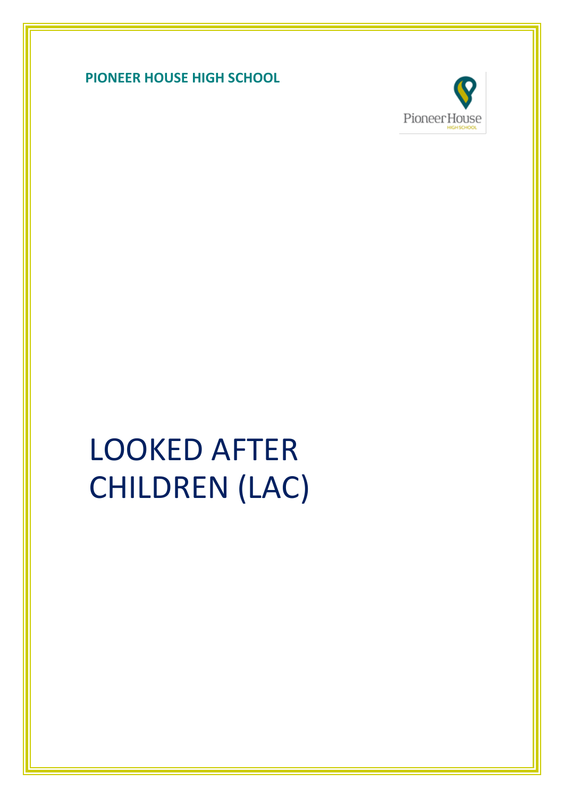



# LOOKED AFTER CHILDREN (LAC)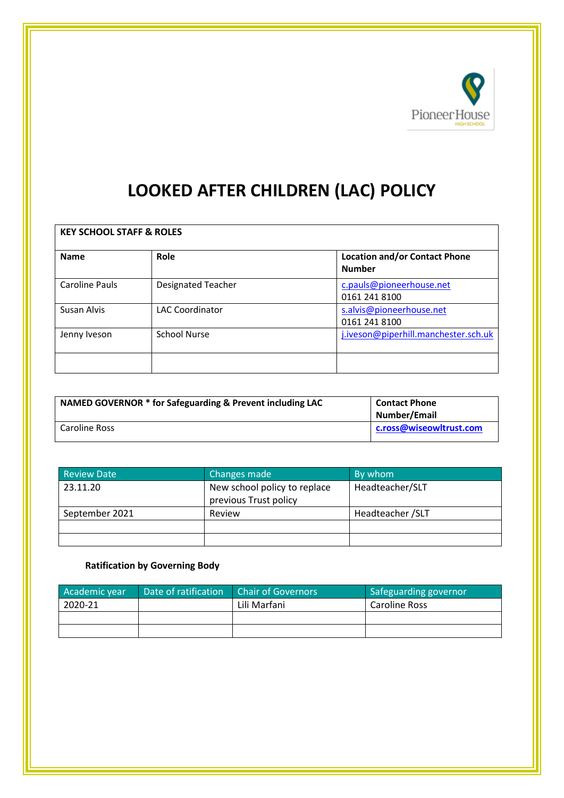

# **LOOKED AFTER CHILDREN (LAC) POLICY**

| <b>KEY SCHOOL STAFF &amp; ROLES</b> |                           |                                                       |  |  |
|-------------------------------------|---------------------------|-------------------------------------------------------|--|--|
| <b>Name</b>                         | Role                      | <b>Location and/or Contact Phone</b><br><b>Number</b> |  |  |
| Caroline Pauls                      | <b>Designated Teacher</b> | c.pauls@pioneerhouse.net<br>0161 241 8100             |  |  |
| Susan Alvis                         | <b>LAC Coordinator</b>    | s.alvis@pioneerhouse.net<br>0161 241 8100             |  |  |
| Jenny Iveson                        | <b>School Nurse</b>       | j.iveson@piperhill.manchester.sch.uk                  |  |  |
|                                     |                           |                                                       |  |  |

| NAMED GOVERNOR * for Safeguarding & Prevent including LAC | <b>Contact Phone</b><br>Number/Email |
|-----------------------------------------------------------|--------------------------------------|
| Caroline Ross                                             | c.ross@wiseowltrust.com              |

| <b>Review Date</b> | Changes made                                          | By whom           |
|--------------------|-------------------------------------------------------|-------------------|
| 23.11.20           | New school policy to replace<br>previous Trust policy | Headteacher/SLT   |
| September 2021     | Review                                                | Headteacher / SLT |
|                    |                                                       |                   |
|                    |                                                       |                   |

# **Ratification by Governing Body**

| Academic year | Date of ratification | <b>Chair of Governors</b> | Safeguarding governor |
|---------------|----------------------|---------------------------|-----------------------|
| 2020-21       |                      | Lili Marfani              | Caroline Ross         |
|               |                      |                           |                       |
|               |                      |                           |                       |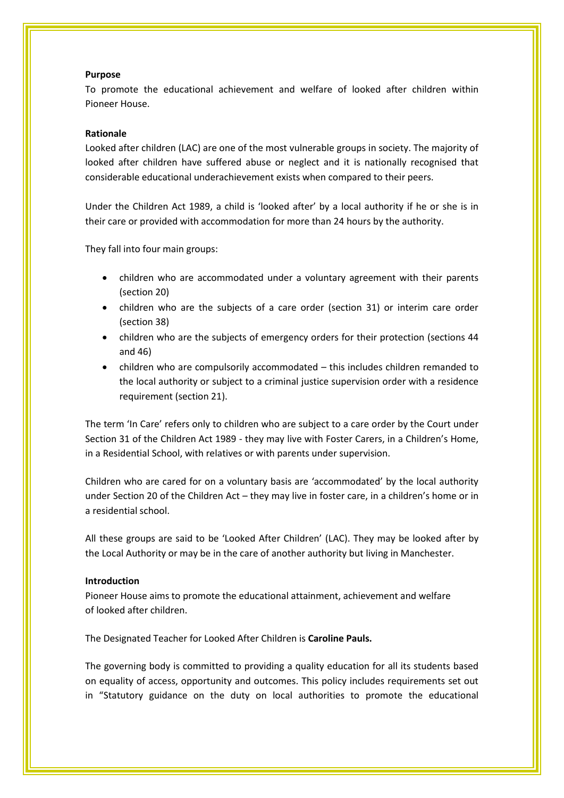#### **Purpose**

To promote the educational achievement and welfare of looked after children within Pioneer House.

#### **Rationale**

Looked after children (LAC) are one of the most vulnerable groups in society. The majority of looked after children have suffered abuse or neglect and it is nationally recognised that considerable educational underachievement exists when compared to their peers.

Under the Children Act 1989, a child is 'looked after' by a local authority if he or she is in their care or provided with accommodation for more than 24 hours by the authority.

They fall into four main groups:

- children who are accommodated under a voluntary agreement with their parents (section 20)
- children who are the subjects of a care order (section 31) or interim care order (section 38)
- children who are the subjects of emergency orders for their protection (sections 44 and 46)
- children who are compulsorily accommodated this includes children remanded to the local authority or subject to a criminal justice supervision order with a residence requirement (section 21).

The term 'In Care' refers only to children who are subject to a care order by the Court under Section 31 of the Children Act 1989 - they may live with Foster Carers, in a Children's Home, in a Residential School, with relatives or with parents under supervision.

Children who are cared for on a voluntary basis are 'accommodated' by the local authority under Section 20 of the Children Act – they may live in foster care, in a children's home or in a residential school.

All these groups are said to be 'Looked After Children' (LAC). They may be looked after by the Local Authority or may be in the care of another authority but living in Manchester.

#### **Introduction**

Pioneer House aims to promote the educational attainment, achievement and welfare of looked after children.

The Designated Teacher for Looked After Children is **Caroline Pauls.**

The governing body is committed to providing a quality education for all its students based on equality of access, opportunity and outcomes. This policy includes requirements set out in "Statutory guidance on the duty on local authorities to promote the educational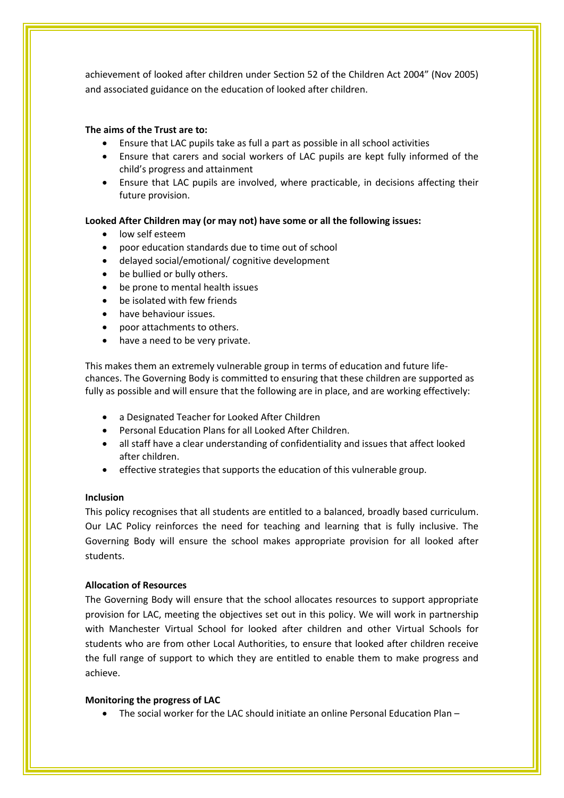achievement of looked after children under Section 52 of the Children Act 2004" (Nov 2005) and associated guidance on the education of looked after children.

#### **The aims of the Trust are to:**

- Ensure that LAC pupils take as full a part as possible in all school activities
- Ensure that carers and social workers of LAC pupils are kept fully informed of the child's progress and attainment
- Ensure that LAC pupils are involved, where practicable, in decisions affecting their future provision.

#### **Looked After Children may (or may not) have some or all the following issues:**

- low self esteem
- poor education standards due to time out of school
- delayed social/emotional/ cognitive development
- be bullied or bully others.
- be prone to mental health issues
- be isolated with few friends
- have behaviour issues.
- poor attachments to others.
- have a need to be very private.

This makes them an extremely vulnerable group in terms of education and future lifechances. The Governing Body is committed to ensuring that these children are supported as fully as possible and will ensure that the following are in place, and are working effectively:

- a Designated Teacher for Looked After Children
- Personal Education Plans for all Looked After Children.
- all staff have a clear understanding of confidentiality and issues that affect looked after children.
- effective strategies that supports the education of this vulnerable group.

#### **Inclusion**

This policy recognises that all students are entitled to a balanced, broadly based curriculum. Our LAC Policy reinforces the need for teaching and learning that is fully inclusive. The Governing Body will ensure the school makes appropriate provision for all looked after students.

#### **Allocation of Resources**

The Governing Body will ensure that the school allocates resources to support appropriate provision for LAC, meeting the objectives set out in this policy. We will work in partnership with Manchester Virtual School for looked after children and other Virtual Schools for students who are from other Local Authorities, to ensure that looked after children receive the full range of support to which they are entitled to enable them to make progress and achieve.

#### **Monitoring the progress of LAC**

• The social worker for the LAC should initiate an online Personal Education Plan –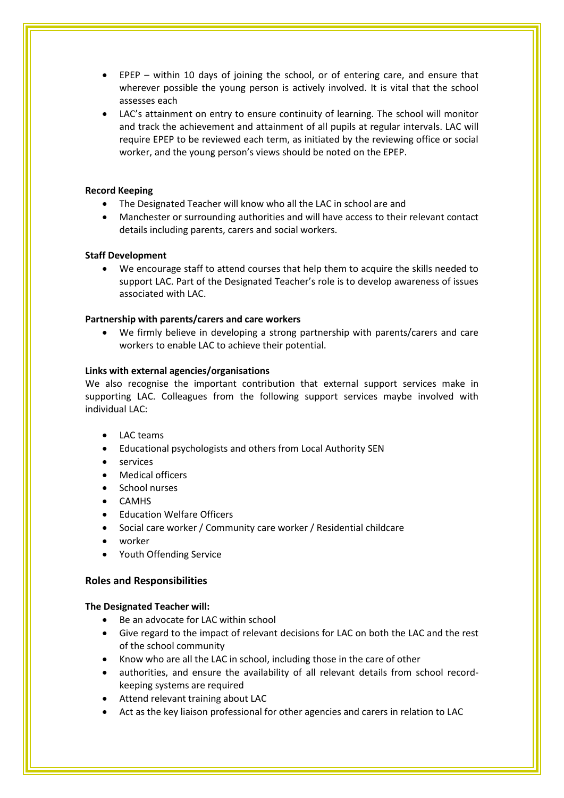- EPEP within 10 days of joining the school, or of entering care, and ensure that wherever possible the young person is actively involved. It is vital that the school assesses each
- LAC's attainment on entry to ensure continuity of learning. The school will monitor and track the achievement and attainment of all pupils at regular intervals. LAC will require EPEP to be reviewed each term, as initiated by the reviewing office or social worker, and the young person's views should be noted on the EPEP.

#### **Record Keeping**

- The Designated Teacher will know who all the LAC in school are and
- Manchester or surrounding authorities and will have access to their relevant contact details including parents, carers and social workers.

#### **Staff Development**

• We encourage staff to attend courses that help them to acquire the skills needed to support LAC. Part of the Designated Teacher's role is to develop awareness of issues associated with LAC.

#### **Partnership with parents/carers and care workers**

• We firmly believe in developing a strong partnership with parents/carers and care workers to enable LAC to achieve their potential.

#### **Links with external agencies/organisations**

We also recognise the important contribution that external support services make in supporting LAC. Colleagues from the following support services maybe involved with individual LAC:

- LAC teams
- Educational psychologists and others from Local Authority SEN
- services
- Medical officers
- School nurses
- CAMHS
- Education Welfare Officers
- Social care worker / Community care worker / Residential childcare
- worker
- Youth Offending Service

#### **Roles and Responsibilities**

#### **The Designated Teacher will:**

- Be an advocate for LAC within school
- Give regard to the impact of relevant decisions for LAC on both the LAC and the rest of the school community
- Know who are all the LAC in school, including those in the care of other
- authorities, and ensure the availability of all relevant details from school recordkeeping systems are required
- Attend relevant training about LAC
- Act as the key liaison professional for other agencies and carers in relation to LAC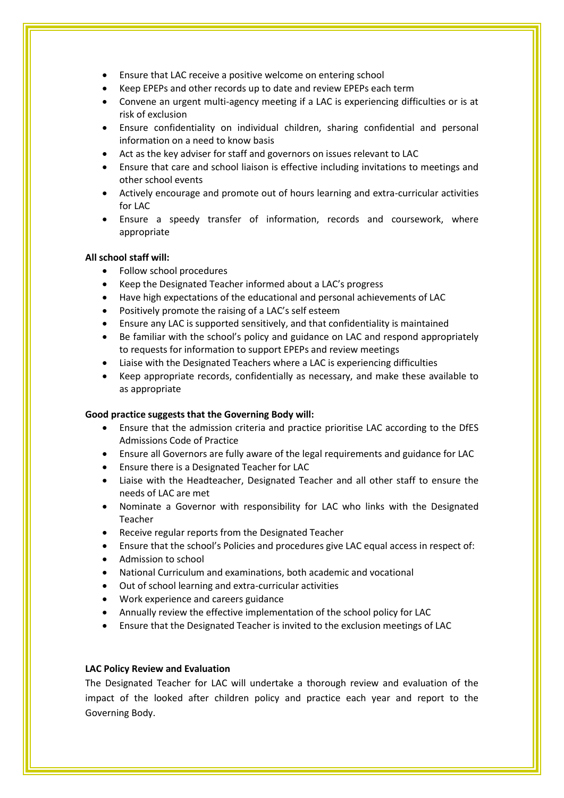- Ensure that LAC receive a positive welcome on entering school
- Keep EPEPs and other records up to date and review EPEPs each term
- Convene an urgent multi-agency meeting if a LAC is experiencing difficulties or is at risk of exclusion
- Ensure confidentiality on individual children, sharing confidential and personal information on a need to know basis
- Act as the key adviser for staff and governors on issues relevant to LAC
- Ensure that care and school liaison is effective including invitations to meetings and other school events
- Actively encourage and promote out of hours learning and extra-curricular activities for LAC
- Ensure a speedy transfer of information, records and coursework, where appropriate

#### **All school staff will:**

- Follow school procedures
- Keep the Designated Teacher informed about a LAC's progress
- Have high expectations of the educational and personal achievements of LAC
- Positively promote the raising of a LAC's self esteem
- Ensure any LAC is supported sensitively, and that confidentiality is maintained
- Be familiar with the school's policy and guidance on LAC and respond appropriately to requests for information to support EPEPs and review meetings
- Liaise with the Designated Teachers where a LAC is experiencing difficulties
- Keep appropriate records, confidentially as necessary, and make these available to as appropriate

#### **Good practice suggests that the Governing Body will:**

- Ensure that the admission criteria and practice prioritise LAC according to the DfES Admissions Code of Practice
- Ensure all Governors are fully aware of the legal requirements and guidance for LAC
- Ensure there is a Designated Teacher for LAC
- Liaise with the Headteacher, Designated Teacher and all other staff to ensure the needs of LAC are met
- Nominate a Governor with responsibility for LAC who links with the Designated Teacher
- Receive regular reports from the Designated Teacher
- Ensure that the school's Policies and procedures give LAC equal access in respect of:
- Admission to school
- National Curriculum and examinations, both academic and vocational
- Out of school learning and extra-curricular activities
- Work experience and careers guidance
- Annually review the effective implementation of the school policy for LAC
- Ensure that the Designated Teacher is invited to the exclusion meetings of LAC

#### **LAC Policy Review and Evaluation**

The Designated Teacher for LAC will undertake a thorough review and evaluation of the impact of the looked after children policy and practice each year and report to the Governing Body.